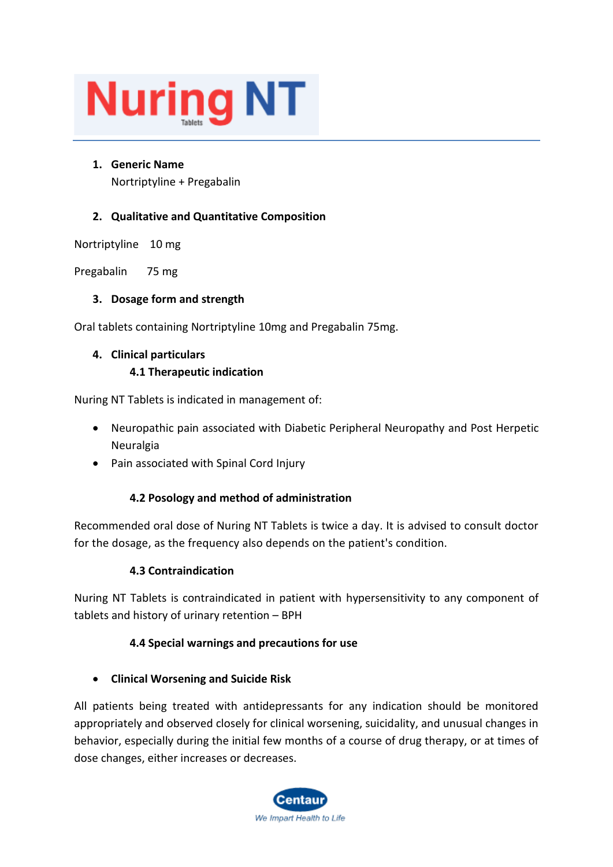# **Nuring NT**

## **1. Generic Name** Nortriptyline + Pregabalin

# **2. Qualitative and Quantitative Composition**

Nortriptyline 10 mg

Pregabalin 75 mg

## **3. Dosage form and strength**

Oral tablets containing Nortriptyline 10mg and Pregabalin 75mg.

## **4. Clinical particulars**

## **4.1 Therapeutic indication**

Nuring NT Tablets is indicated in management of:

- Neuropathic pain associated with Diabetic Peripheral Neuropathy and Post Herpetic Neuralgia
- Pain associated with Spinal Cord Injury

# **4.2 Posology and method of administration**

Recommended oral dose of Nuring NT Tablets is twice a day. It is advised to consult doctor for the dosage, as the frequency also depends on the patient's condition.

## **4.3 Contraindication**

Nuring NT Tablets is contraindicated in patient with hypersensitivity to any component of tablets and history of urinary retention – BPH

## **4.4 Special warnings and precautions for use**

## • **Clinical Worsening and Suicide Risk**

All patients being treated with antidepressants for any indication should be monitored appropriately and observed closely for clinical worsening, suicidality, and unusual changes in behavior, especially during the initial few months of a course of drug therapy, or at times of dose changes, either increases or decreases.

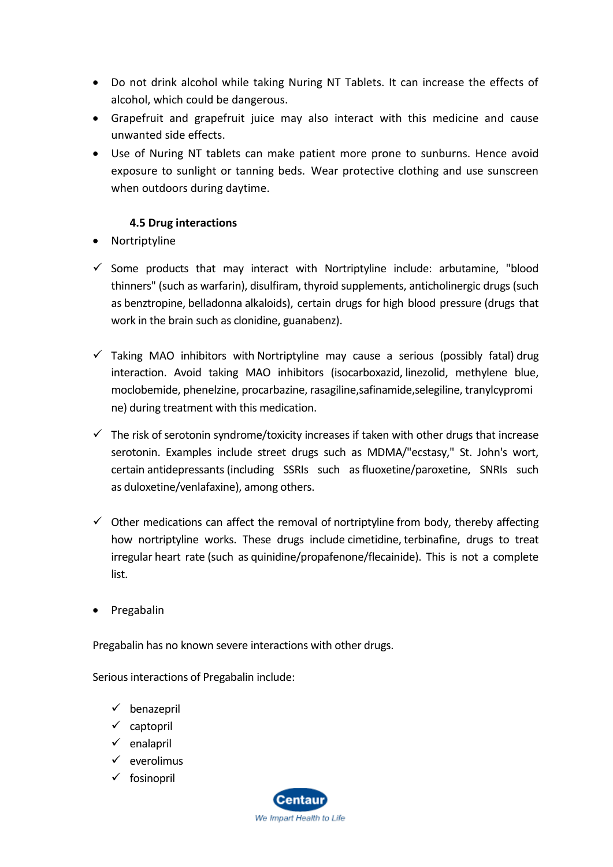- Do not drink alcohol while taking Nuring NT Tablets. It can increase the effects of alcohol, which could be dangerous.
- Grapefruit and grapefruit juice may also interact with this medicine and cause unwanted side effects.
- Use of Nuring NT tablets can make patient more prone to sunburns. Hence avoid exposure to sunlight or tanning beds. Wear protective clothing and use sunscreen when outdoors during daytime.

## **4.5 Drug interactions**

- Nortriptyline
- $\checkmark$  Some products that may interact with Nortriptyline include: arbutamine, "blood [thinners"](https://www.webmd.com/heart-disease/ss/slideshow-tips-for-taking-blood-thinners) (such as [warfarin\)](https://www.webmd.com/drugs/2/drug-3949/warfarin+oral/details), [disulfiram,](https://www.webmd.com/drugs/2/drug-1446/disulfiram+oral/details) [thyroid](https://www.webmd.com/women/picture-of-the-thyroid) [supplements,](https://www.webmd.com/vitamins-and-supplements/lifestyle-guide-11/default.htm) anticholinergic drugs (such as [benztropine,](https://www.webmd.com/drugs/2/drug-8619/benztropine+oral/details) [belladonna](https://www.webmd.com/drugs/drug-2067-belladonna+alkaloids-opium+rect.aspx) alkaloids), certain drugs for [high blood pressure](https://www.webmd.com/hypertension-high-blood-pressure/guide/blood-pressure-causes) (drugs that work in the [brain](https://www.webmd.com/brain/picture-of-the-brain) such as [clonidine,](https://www.webmd.com/drugs/drug-11754-clonidine+oral.aspx) guanabenz).
- $\checkmark$  Taking MAO inhibitors with Nortriptyline may cause a serious (possibly fatal) drug [interaction.](https://www.webmd.com/interaction-checker/default.htm) Avoid taking MAO inhibitors [\(isocarboxazid,](https://www.webmd.com/drugs/2/drug-11988/isocarboxazid+oral/details) [linezolid,](https://www.webmd.com/drugs/2/drug-18169/linezolid+intravenous/details) methylene blue, moclobemide, [phenelzine,](https://www.webmd.com/drugs/2/drug-8827/phenelzine+oral/details) [procarbazine,](https://www.webmd.com/drugs/2/drug-6893/procarbazine+oral/details) [rasagiline,](https://www.webmd.com/drugs/2/drug-144380/rasagiline+oral/details)safinamide,selegiline, [tranylcypromi](https://www.webmd.com/drugs/2/drug-6966/tranylcypromine+oral/details) [ne\)](https://www.webmd.com/drugs/2/drug-6966/tranylcypromine+oral/details) during treatment with this medication.
- $\checkmark$  The risk of [serotonin syndrome/](https://www.webmd.com/depression/guide/serotonin-syndrome-causes-symptoms-treatments)toxicity increases if taken with other drugs that increase serotonin. Examples include street drugs such as MDMA/"ecstasy," St. John's wort, certain [antidepressants](https://www.webmd.com/depression/guide/depression-medications-antidepressants)(including SSRIs such as[fluoxetine/](https://www.webmd.com/drugs/2/drug-1774/fluoxetine+oral/details)paroxetine, SNRIs such as [duloxetine/](https://www.webmd.com/drugs/2/drug-91490/duloxetine+oral/details)[venlafaxine\)](https://www.webmd.com/drugs/mono-5047-VENLAFAXINE+-+ORAL.aspx?drugid=4870&drugname=venlafaxine+oral), among others.
- $\checkmark$  Other medications can affect the removal of [nortriptyline](https://www.webmd.com/drugs/2/drug-10710/nortriptyline+oral/details) from body, thereby affecting how nortriptyline works. These drugs include [cimetidine,](https://www.webmd.com/drugs/2/drug-11210/cimetidine+oral/details) [terbinafine,](https://www.webmd.com/drugs/2/drug-166799/terbinafine+topical/details) drugs to treat irregular [heart rate](https://www.webmd.com/heart-disease/pulse-measurement) (such as [quinidine/](https://www.webmd.com/drugs/2/drug-12175/quinidine+gluconate+oral/details)propafenone[/flecainide\)](https://www.webmd.com/drugs/2/drug-6109/flecainide+oral/details). This is not a complete list.
- Pregabalin

Pregabalin has no known severe interactions with other drugs.

Serious interactions of Pregabalin include:

- ✓ benazepril
- ✓ captopril
- $\checkmark$  enalapril
- ✓ everolimus
- ✓ fosinopril

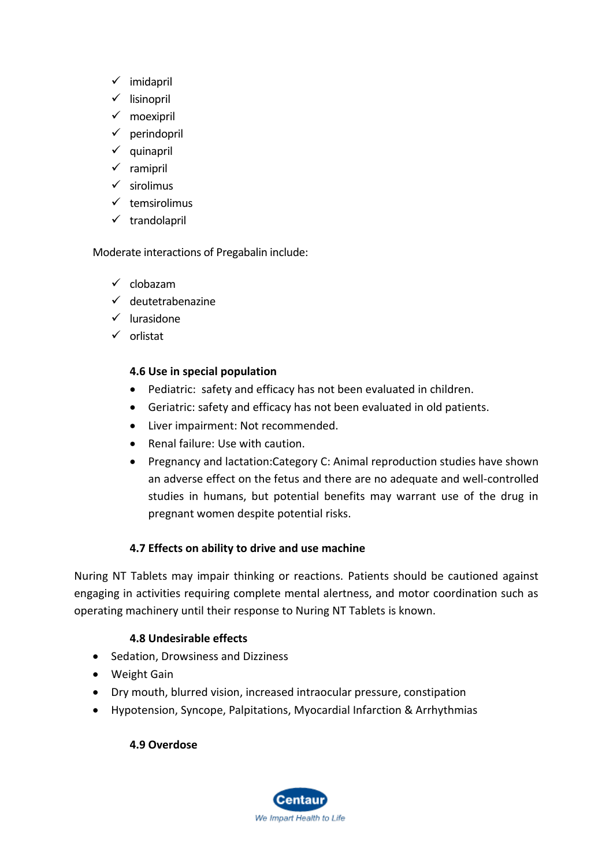- ✓ imidapril
- ✓ lisinopril
- ✓ moexipril
- $\checkmark$  perindopril
- ✓ quinapril
- ✓ ramipril
- ✓ sirolimus
- $\checkmark$  temsirolimus
- ✓ trandolapril

## Moderate interactions of Pregabalin include:

- ✓ clobazam
- ✓ deutetrabenazine
- ✓ lurasidone
- ✓ orlistat

## **4.6 Use in special population**

- Pediatric: safety and efficacy has not been evaluated in children.
- Geriatric: safety and efficacy has not been evaluated in old patients.
- Liver impairment: Not recommended.
- Renal failure: Use with caution.
- Pregnancy and lactation:Category C: Animal reproduction studies have shown an adverse effect on the fetus and there are no adequate and well-controlled studies in humans, but potential benefits may warrant use of the drug in pregnant women despite potential risks.

# **4.7 Effects on ability to drive and use machine**

Nuring NT Tablets may impair thinking or reactions. Patients should be cautioned against engaging in activities requiring complete mental alertness, and motor coordination such as operating machinery until their response to Nuring NT Tablets is known.

## **4.8 Undesirable effects**

- Sedation, Drowsiness and Dizziness
- Weight Gain
- Dry mouth, blurred vision, increased intraocular pressure, constipation
- Hypotension, Syncope, Palpitations, Myocardial Infarction & Arrhythmias

## **4.9 Overdose**

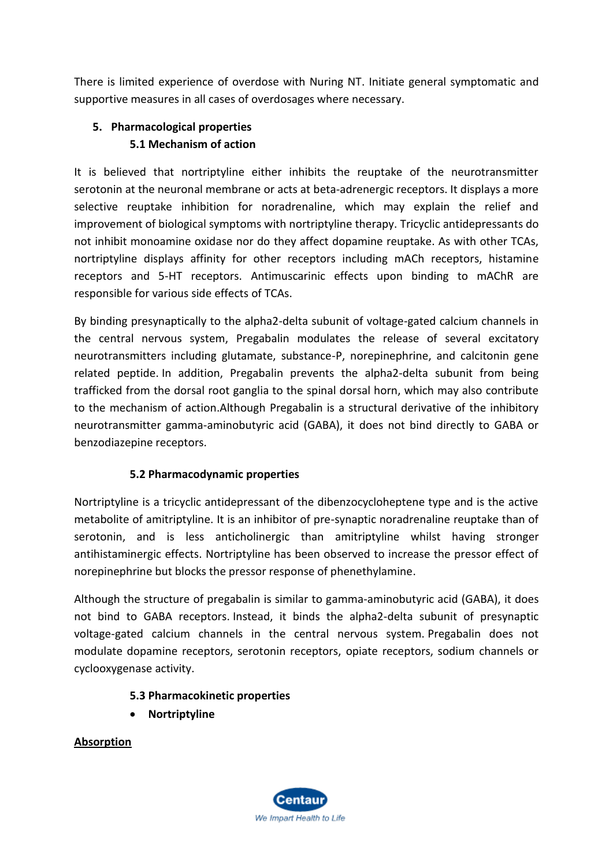There is limited experience of overdose with Nuring NT. Initiate general symptomatic and supportive measures in all cases of overdosages where necessary.

# **5. Pharmacological properties 5.1 Mechanism of action**

It is believed that nortriptyline either inhibits the reuptake of the neurotransmitter serotonin at the neuronal membrane or acts at beta-adrenergic receptors. It displays a more selective reuptake inhibition for noradrenaline, which may explain the relief and improvement of biological symptoms with nortriptyline therapy. Tricyclic antidepressants do not inhibit monoamine oxidase nor do they affect dopamine reuptake. As with other TCAs, nortriptyline displays affinity for other receptors including mACh receptors, histamine receptors and 5-HT receptors. Antimuscarinic effects upon binding to mAChR are responsible for various side effects of TCAs.

By binding presynaptically to the alpha2-delta subunit of voltage-gated calcium channels in the central nervous system, Pregabalin modulates the release of several excitatory neurotransmitters including glutamate, substance-P, norepinephrine, and calcitonin gene related peptide. In addition, Pregabalin prevents the alpha2-delta subunit from being trafficked from the dorsal root ganglia to the spinal dorsal horn, which may also contribute to the mechanism of action.Although Pregabalin is a structural derivative of the inhibitory neurotransmitter gamma-aminobutyric acid (GABA), it does not bind directly to GABA or benzodiazepine receptors.

# **5.2 Pharmacodynamic properties**

Nortriptyline is a tricyclic antidepressant of the dibenzocycloheptene type and is the active metabolite of amitriptyline. It is an inhibitor of pre-synaptic noradrenaline reuptake than of serotonin, and is less anticholinergic than amitriptyline whilst having stronger antihistaminergic effects. Nortriptyline has been observed to increase the pressor effect of norepinephrine but blocks the pressor response of phenethylamine.

Although the structure of pregabalin is similar to gamma-aminobutyric acid (GABA), it does not bind to GABA receptors. Instead, it binds the alpha2-delta subunit of presynaptic voltage-gated calcium channels in the central nervous system. Pregabalin does not modulate dopamine receptors, serotonin receptors, opiate receptors, sodium channels or cyclooxygenase activity.

# **5.3 Pharmacokinetic properties**

• **Nortriptyline**

**Absorption**

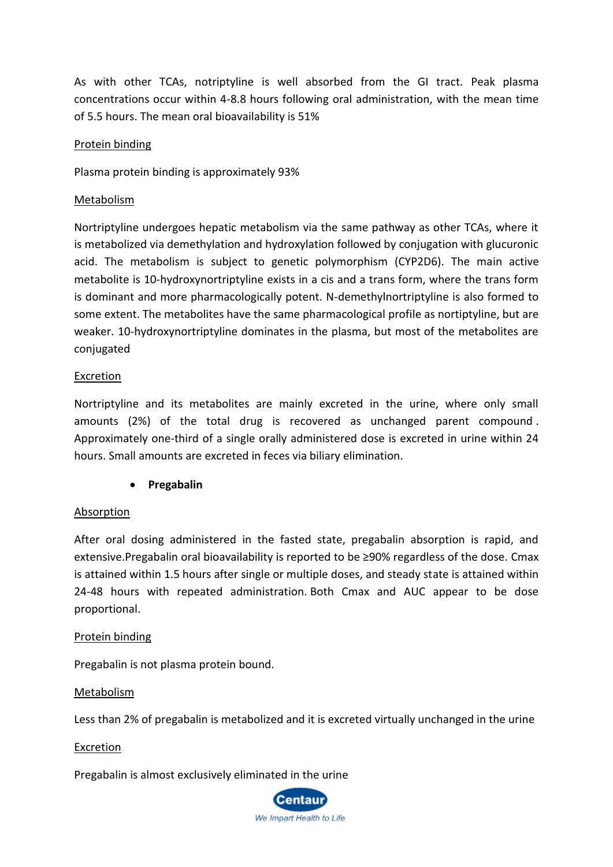As with other TCAs, notriptyline is well absorbed from the GI tract. Peak plasma concentrations occur within 4-8.8 hours following oral administration, with the mean time of 5.5 hours. The mean oral bioavailability is 51%

#### Protein binding

Plasma protein binding is approximately 93%

#### Metabolism

Nortriptyline undergoes hepatic metabolism via the same pathway as other TCAs, where it is metabolized via demethylation and hydroxylation followed by conjugation with glucuronic acid. The metabolism is subject to genetic polymorphism (CYP2D6). The main active metabolite is 10-hydroxynortriptyline exists in a cis and a trans form, where the trans form is dominant and more pharmacologically potent. N-demethylnortriptyline is also formed to some extent. The metabolites have the same pharmacological profile as nortiptyline, but are weaker. 10-hydroxynortriptyline dominates in the plasma, but most of the metabolites are conjugated

#### **Excretion**

Nortriptyline and its metabolites are mainly excreted in the urine, where only small amounts (2%) of the total drug is recovered as unchanged parent compound . Approximately one-third of a single orally administered dose is excreted in urine within 24 hours. Small amounts are excreted in feces via biliary elimination.

• **Pregabalin**

## Absorption

After oral dosing administered in the fasted state, pregabalin absorption is rapid, and extensive.Pregabalin oral bioavailability is reported to be ≥90% regardless of the dose. Cmax is attained within 1.5 hours after single or multiple doses, and steady state is attained within 24-48 hours with repeated administration. Both Cmax and AUC appear to be dose proportional.

#### Protein binding

Pregabalin is not plasma protein bound.

#### Metabolism

Less than 2% of pregabalin is metabolized and it is excreted virtually unchanged in the urine

#### Excretion

Pregabalin is almost exclusively eliminated in the urine

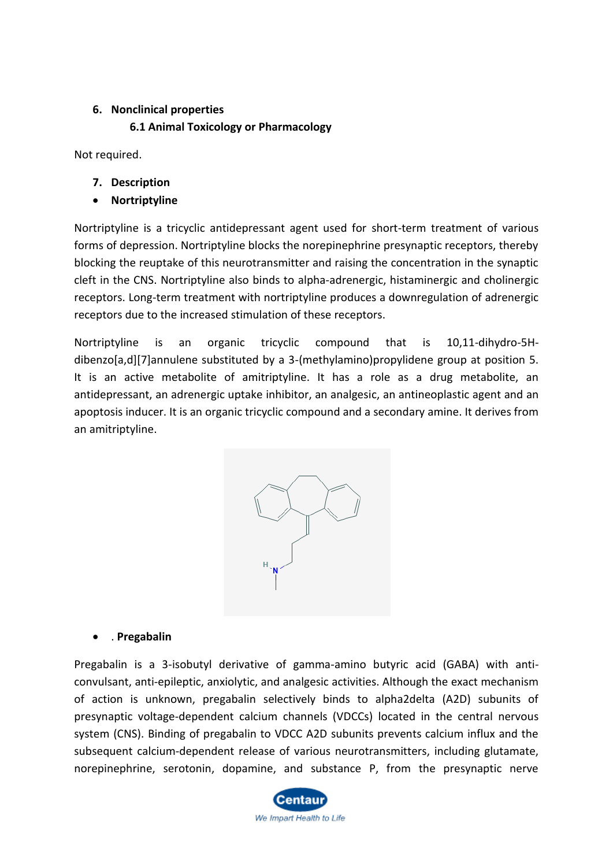### **6. Nonclinical properties**

#### **6.1 Animal Toxicology or Pharmacology**

Not required.

- **7. Description**
- **Nortriptyline**

Nortriptyline is a tricyclic antidepressant agent used for short-term treatment of various forms of depression. Nortriptyline blocks the norepinephrine presynaptic receptors, thereby blocking the reuptake of this neurotransmitter and raising the concentration in the synaptic cleft in the CNS. Nortriptyline also binds to alpha-adrenergic, histaminergic and cholinergic receptors. Long-term treatment with nortriptyline produces a downregulation of adrenergic receptors due to the increased stimulation of these receptors.

Nortriptyline is an organic tricyclic compound that is 10,11-dihydro-5Hdibenzo[a,d][7]annulene substituted by a 3-(methylamino)propylidene group at position 5. It is an active metabolite of amitriptyline. It has a role as a drug metabolite, an antidepressant, an adrenergic uptake inhibitor, an analgesic, an antineoplastic agent and an apoptosis inducer. It is an organic tricyclic compound and a secondary amine. It derives from an amitriptyline.



#### • . **Pregabalin**

Pregabalin is a 3-isobutyl derivative of gamma-amino butyric acid (GABA) with anticonvulsant, anti-epileptic, anxiolytic, and analgesic activities. Although the exact mechanism of action is unknown, pregabalin selectively binds to alpha2delta (A2D) subunits of presynaptic voltage-dependent calcium channels (VDCCs) located in the central nervous system (CNS). Binding of pregabalin to VDCC A2D subunits prevents calcium influx and the subsequent calcium-dependent release of various neurotransmitters, including glutamate, norepinephrine, serotonin, dopamine, and substance P, from the presynaptic nerve

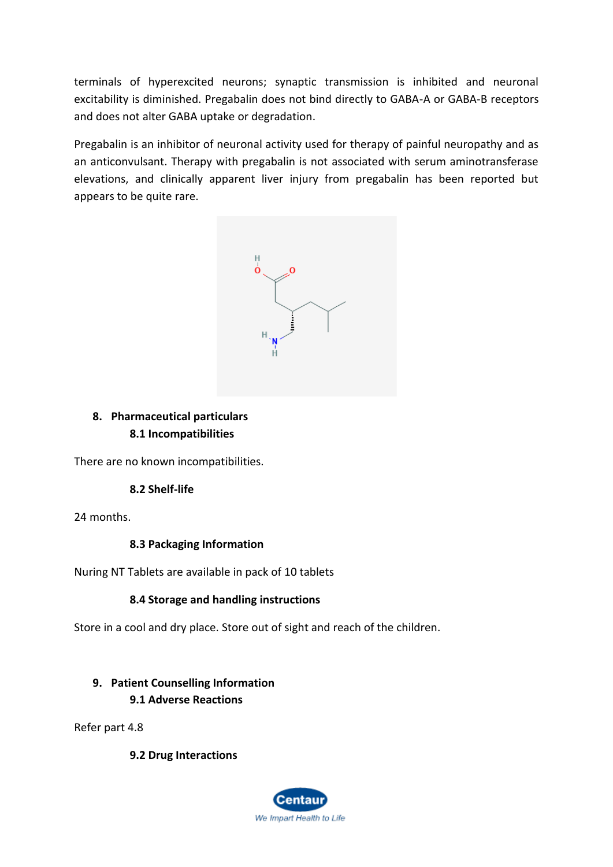terminals of hyperexcited neurons; synaptic transmission is inhibited and neuronal excitability is diminished. Pregabalin does not bind directly to GABA-A or GABA-B receptors and does not alter GABA uptake or degradation.

Pregabalin is an inhibitor of neuronal activity used for therapy of painful neuropathy and as an anticonvulsant. Therapy with pregabalin is not associated with serum aminotransferase elevations, and clinically apparent liver injury from pregabalin has been reported but appears to be quite rare.



## **8. Pharmaceutical particulars 8.1 Incompatibilities**

There are no known incompatibilities.

## **8.2 Shelf-life**

24 months.

## **8.3 Packaging Information**

Nuring NT Tablets are available in pack of 10 tablets

## **8.4 Storage and handling instructions**

Store in a cool and dry place. Store out of sight and reach of the children.

# **9. Patient Counselling Information**

## **9.1 Adverse Reactions**

Refer part 4.8

#### **9.2 Drug Interactions**